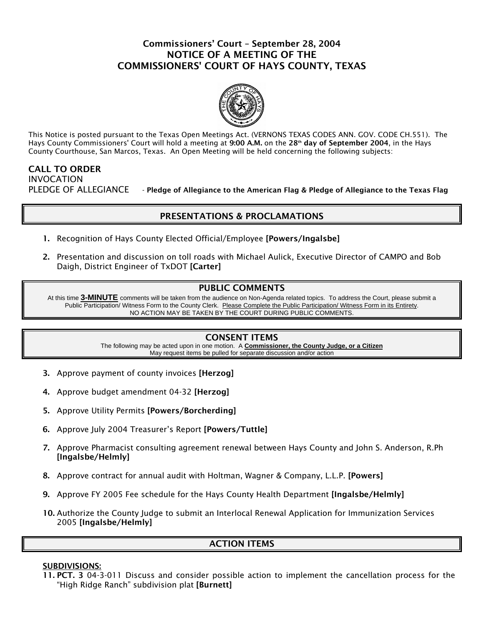# Commissioners' Court – September 28, 2004 NOTICE OF A MEETING OF THE COMMISSIONERS' COURT OF HAYS COUNTY, TEXAS



This Notice is posted pursuant to the Texas Open Meetings Act. (VERNONS TEXAS CODES ANN. GOV. CODE CH.551). The Hays County Commissioners' Court will hold a meeting at 9:00 A.M. on the 28<sup>th</sup> day of September 2004, in the Hays County Courthouse, San Marcos, Texas. An Open Meeting will be held concerning the following subjects:

# CALL TO ORDER INVOCATION PLEDGE OF ALLEGIANCE - Pledge of Allegiance to the American Flag & Pledge of Allegiance to the Texas Flag

# PRESENTATIONS & PROCLAMATIONS

- 1. Recognition of Hays County Elected Official/Employee [Powers/Ingalsbe]
- 2. Presentation and discussion on toll roads with Michael Aulick, Executive Director of CAMPO and Bob Daigh, District Engineer of TxDOT [Carter]

## PUBLIC COMMENTS

At this time **3-MINUTE** comments will be taken from the audience on Non-Agenda related topics. To address the Court, please submit a Public Participation/ Witness Form to the County Clerk. Please Complete the Public Participation/ Witness Form in its Entirety. NO ACTION MAY BE TAKEN BY THE COURT DURING PUBLIC COMMENTS.

### CONSENT ITEMS

The following may be acted upon in one motion. A **Commissioner, the County Judge, or a Citizen** May request items be pulled for separate discussion and/or action

- 3. Approve payment of county invoices [Herzog]
- 4. Approve budget amendment 04-32 [Herzog]
- 5. Approve Utility Permits [Powers/Borcherding]
- 6. Approve July 2004 Treasurer's Report [Powers/Tuttle]
- 7. Approve Pharmacist consulting agreement renewal between Hays County and John S. Anderson, R.Ph [Ingalsbe/Helmly]
- 8. Approve contract for annual audit with Holtman, Wagner & Company, L.L.P. [Powers]
- 9. Approve FY 2005 Fee schedule for the Hays County Health Department [Ingalsbe/Helmly]
- 10. Authorize the County Judge to submit an Interlocal Renewal Application for Immunization Services 2005 [Ingalsbe/Helmly]

## ACTION ITEMS

### SUBDIVISIONS:

11. PCT. 3 04-3-011 Discuss and consider possible action to implement the cancellation process for the "High Ridge Ranch" subdivision plat [Burnett]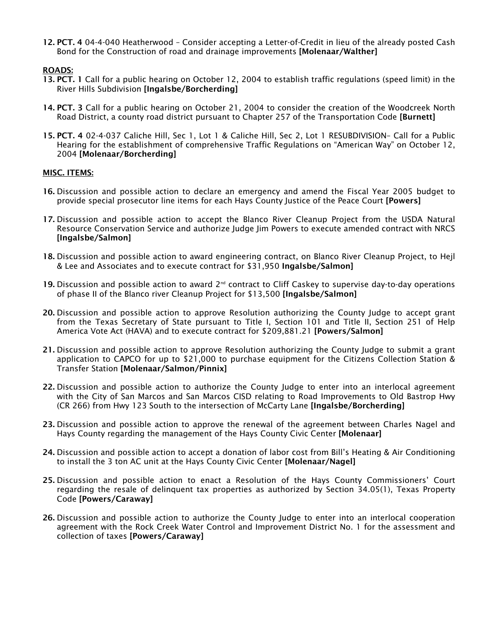12. PCT. 4 04-4-040 Heatherwood – Consider accepting a Letter-of-Credit in lieu of the already posted Cash Bond for the Construction of road and drainage improvements [Molenaar/Walther]

### ROADS:

- 13. PCT. 1 Call for a public hearing on October 12, 2004 to establish traffic regulations (speed limit) in the River Hills Subdivision [Ingalsbe/Borcherding]
- 14. PCT. 3 Call for a public hearing on October 21, 2004 to consider the creation of the Woodcreek North Road District, a county road district pursuant to Chapter 257 of the Transportation Code [Burnett]
- 15. PCT. 4 02-4-037 Caliche Hill, Sec 1, Lot 1 & Caliche Hill, Sec 2, Lot 1 RESUBDIVISION– Call for a Public Hearing for the establishment of comprehensive Traffic Regulations on "American Way" on October 12, 2004 [Molenaar/Borcherding]

### MISC. ITEMS:

- 16. Discussion and possible action to declare an emergency and amend the Fiscal Year 2005 budget to provide special prosecutor line items for each Hays County Justice of the Peace Court [Powers]
- 17. Discussion and possible action to accept the Blanco River Cleanup Project from the USDA Natural Resource Conservation Service and authorize Judge Jim Powers to execute amended contract with NRCS [Ingalsbe/Salmon]
- 18. Discussion and possible action to award engineering contract, on Blanco River Cleanup Project, to Hejl & Lee and Associates and to execute contract for \$31,950 Ingalsbe/Salmon]
- 19. Discussion and possible action to award  $2^{nd}$  contract to Cliff Caskey to supervise day-to-day operations of phase II of the Blanco river Cleanup Project for \$13,500 [Ingalsbe/Salmon]
- 20. Discussion and possible action to approve Resolution authorizing the County Judge to accept grant from the Texas Secretary of State pursuant to Title I, Section 101 and Title II, Section 251 of Help America Vote Act (HAVA) and to execute contract for \$209,881.21 [Powers/Salmon]
- 21. Discussion and possible action to approve Resolution authorizing the County Judge to submit a grant application to CAPCO for up to \$21,000 to purchase equipment for the Citizens Collection Station & Transfer Station [Molenaar/Salmon/Pinnix]
- 22. Discussion and possible action to authorize the County Judge to enter into an interlocal agreement with the City of San Marcos and San Marcos CISD relating to Road Improvements to Old Bastrop Hwy (CR 266) from Hwy 123 South to the intersection of McCarty Lane [Ingalsbe/Borcherding]
- 23. Discussion and possible action to approve the renewal of the agreement between Charles Nagel and Hays County regarding the management of the Hays County Civic Center [Molenaar]
- 24. Discussion and possible action to accept a donation of labor cost from Bill's Heating & Air Conditioning to install the 3 ton AC unit at the Hays County Civic Center [Molenaar/Nagel]
- 25. Discussion and possible action to enact a Resolution of the Hays County Commissioners' Court regarding the resale of delinquent tax properties as authorized by Section 34.05(1), Texas Property Code [Powers/Caraway]
- 26. Discussion and possible action to authorize the County Judge to enter into an interlocal cooperation agreement with the Rock Creek Water Control and Improvement District No. 1 for the assessment and collection of taxes [Powers/Caraway]